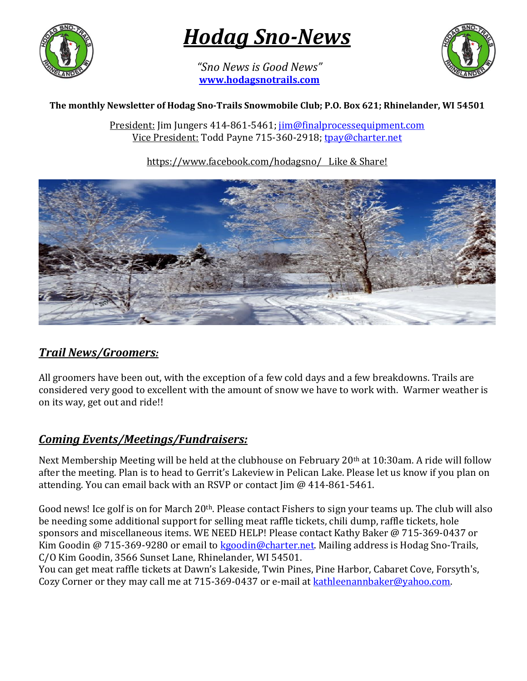

# *Hodag Sno-News*

*"Sno News is Good News"* **[www.hodagsnotrails.com](http://www.hodagsnotrails.com/)** 



#### **The monthly Newsletter of Hodag Sno-Trails Snowmobile Club; P.O. Box 621; Rhinelander, WI 54501**

President: Jim Jungers 414-861-5461; [jim@finalprocessequipment.com](mailto:jim@finalprocessequipment.com) Vice President: Todd Payne 715-360-2918; [tpay@charter.net](mailto:tpay@charter.net)

https://www.facebook.com/hodagsno/ Like & Share!



### *Trail News/Groomers:*

All groomers have been out, with the exception of a few cold days and a few breakdowns. Trails are considered very good to excellent with the amount of snow we have to work with. Warmer weather is on its way, get out and ride!!

### *Coming Events/Meetings/Fundraisers:*

Next Membership Meeting will be held at the clubhouse on February 20<sup>th</sup> at 10:30am. A ride will follow after the meeting. Plan is to head to Gerrit's Lakeview in Pelican Lake. Please let us know if you plan on attending. You can email back with an RSVP or contact Jim @ 414-861-5461.

Good news! Ice golf is on for March 20<sup>th</sup>. Please contact Fishers to sign your teams up. The club will also be needing some additional support for selling meat raffle tickets, chili dump, raffle tickets, hole sponsors and miscellaneous items. WE NEED HELP! Please contact Kathy Baker @ 715-369-0437 or Kim Goodin @ 715-369-9280 or email to [kgoodin@charter.net.](mailto:kgoodin@charter.net) Mailing address is Hodag Sno-Trails, C/O Kim Goodin, 3566 Sunset Lane, Rhinelander, WI 54501.

You can get meat raffle tickets at Dawn's Lakeside, Twin Pines, Pine Harbor, Cabaret Cove, Forsyth's, Cozy Corner or they may call me at 715-369-0437 or e-mail at **kathleenannbaker@yahoo.com**.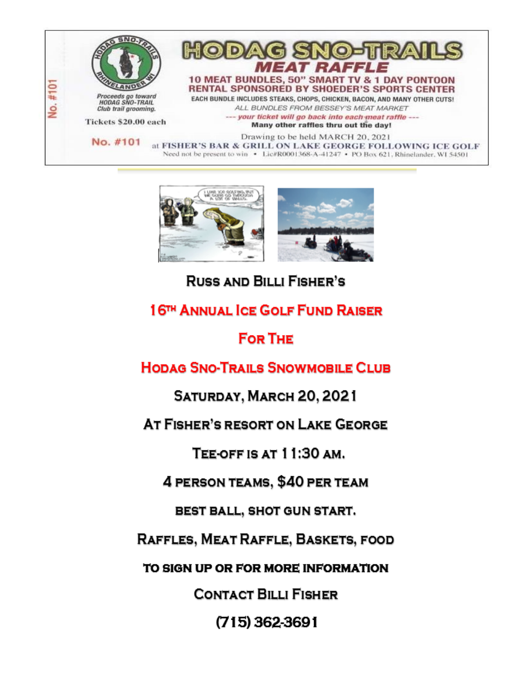



## **RUSS AND BILLI FISHER'S**

### 16TH ANNUAL ICE GOLF FUND RAISER

### **FOR THE**

### **HODAG SNO-TRAILS SNOWMOBILE CLUB**

SATURDAY, MARCH 20, 2021

AT FISHER'S RESORT ON LAKE GEORGE

TEE-OFF IS AT 11:30 AM.

4 PERSON TEAMS, \$40 PER TEAM

BEST BALL, SHOT GUN START.

RAFFLES, MEAT RAFFLE, BASKETS, FOOD

TO SIGN UP OR FOR MORE INFORMATION

**CONTACT BILLI FISHER** 

 $(715)$  362-3691